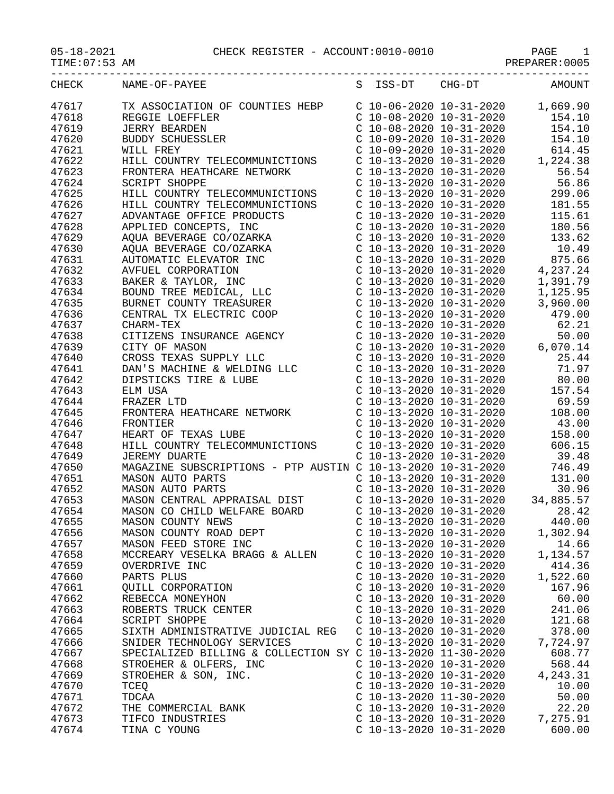05-18-2021 CHECK REGISTER - ACCOUNT:0010-0010<br>TIME:07:53 AM

PAGE 1<br>PREPARER:0005

| CHECK  | NAME-OF-PAYEE                   | S TSS-DT<br>CHG-DT           | AMOUNT           |
|--------|---------------------------------|------------------------------|------------------|
| 47617  | TX ASSOCIATION OF COUNTIES HEBP | C 10-06-2020 10-31-2020      | 1,669.90         |
| 47618  | REGGIE LOEFFLER                 | C 10-08-2020 10-31-2020      | 154.10           |
| 177710 | TED BILD SAGET                  | (10, 00, 2020, 10, 21, 2020) | 1 <b>F</b> 1 1 0 |

| 47618 | REGGIE LOEFFLER                                             | $C$ 10-08-2020 10-31-2020 | 154.10    |
|-------|-------------------------------------------------------------|---------------------------|-----------|
| 47619 | <b>JERRY BEARDEN</b>                                        | $C$ 10-08-2020 10-31-2020 | 154.10    |
| 47620 | BUDDY SCHUESSLER                                            | $C$ 10-09-2020 10-31-2020 | 154.10    |
| 47621 | WILL FREY                                                   | $C$ 10-09-2020 10-31-2020 | 614.45    |
| 47622 | HILL COUNTRY TELECOMMUNICTIONS                              | $C$ 10-13-2020 10-31-2020 | 1,224.38  |
| 47623 | FRONTERA HEATHCARE NETWORK                                  | $C$ 10-13-2020 10-31-2020 | 56.54     |
| 47624 | <b>SCRIPT SHOPPE</b>                                        | $C$ 10-13-2020 10-31-2020 | 56.86     |
| 47625 | HILL COUNTRY TELECOMMUNICTIONS                              | $C$ 10-13-2020 10-31-2020 | 299.06    |
| 47626 | HILL COUNTRY TELECOMMUNICTIONS                              | $C$ 10-13-2020 10-31-2020 | 181.55    |
| 47627 | ADVANTAGE OFFICE PRODUCTS                                   | $C$ 10-13-2020 10-31-2020 | 115.61    |
| 47628 | APPLIED CONCEPTS, INC                                       | $C$ 10-13-2020 10-31-2020 | 180.56    |
| 47629 | AQUA BEVERAGE CO/OZARKA                                     | $C$ 10-13-2020 10-31-2020 | 133.62    |
| 47630 | AQUA BEVERAGE CO/OZARKA                                     | $C$ 10-13-2020 10-31-2020 | 10.49     |
| 47631 | AUTOMATIC ELEVATOR INC                                      | $C$ 10-13-2020 10-31-2020 | 875.66    |
| 47632 | AVFUEL CORPORATION                                          | $C$ 10-13-2020 10-31-2020 | 4,237.24  |
| 47633 | BAKER & TAYLOR, INC                                         | $C$ 10-13-2020 10-31-2020 | 1,391.79  |
| 47634 | BAKER & TAYLOR, INC<br>BOUND TREE MEDICAL, LLC              | $C$ 10-13-2020 10-31-2020 | 1,125.95  |
| 47635 | BURNET COUNTY TREASURER                                     |                           |           |
|       |                                                             | $C$ 10-13-2020 10-31-2020 | 3,960.00  |
| 47636 | CENTRAL TX ELECTRIC COOP                                    | $C$ 10-13-2020 10-31-2020 | 479.00    |
| 47637 | CHARM-TEX                                                   | $C$ 10-13-2020 10-31-2020 | 62.21     |
| 47638 | CITIZENS INSURANCE AGENCY                                   | $C$ 10-13-2020 10-31-2020 | 50.00     |
| 47639 | CITY OF MASON                                               | $C$ 10-13-2020 10-31-2020 | 6,070.14  |
| 47640 | CROSS TEXAS SUPPLY LLC                                      | $C$ 10-13-2020 10-31-2020 | 25.44     |
| 47641 | DAN'S MACHINE & WELDING LLC                                 | $C$ 10-13-2020 10-31-2020 | 71.97     |
| 47642 | DIPSTICKS TIRE & LUBE                                       | $C$ 10-13-2020 10-31-2020 | 80.00     |
| 47643 | ELM USA                                                     | $C$ 10-13-2020 10-31-2020 | 157.54    |
| 47644 | FRAZER LTD                                                  | $C$ 10-13-2020 10-31-2020 | 69.59     |
| 47645 | FRONTERA HEATHCARE NETWORK                                  | $C$ 10-13-2020 10-31-2020 | 108.00    |
| 47646 | FRONTIER                                                    | $C$ 10-13-2020 10-31-2020 | 43.00     |
| 47647 | HEART OF TEXAS LUBE                                         | $C$ 10-13-2020 10-31-2020 | 158.00    |
| 47648 | HILL COUNTRY TELECOMMUNICTIONS                              | $C$ 10-13-2020 10-31-2020 | 606.15    |
| 47649 | <b>JEREMY DUARTE</b>                                        | $C$ 10-13-2020 10-31-2020 | 39.48     |
| 47650 | MAGAZINE SUBSCRIPTIONS - PTP AUSTIN C 10-13-2020 10-31-2020 |                           | 746.49    |
| 47651 | MASON AUTO PARTS                                            | $C$ 10-13-2020 10-31-2020 | 131.00    |
| 47652 | MASON AUTO PARTS                                            | $C$ 10-13-2020 10-31-2020 | 30.96     |
| 47653 | MASON CENTRAL APPRAISAL DIST                                | $C$ 10-13-2020 10-31-2020 | 34,885.57 |
| 47654 | MASON CO CHILD WELFARE BOARD                                | $C$ 10-13-2020 10-31-2020 | 28.42     |
| 47655 | MASON COUNTY NEWS                                           | $C$ 10-13-2020 10-31-2020 | 440.00    |
| 47656 | MASON COUNTY NEWS<br>MASON COUNTY ROAD DEPT                 | $C$ 10-13-2020 10-31-2020 | 1,302.94  |
| 47657 | MASON FEED STORE INC                                        | $C$ 10-13-2020 10-31-2020 | 14.66     |
| 47658 | MCCREARY VESELKA BRAGG & ALLEN                              | $C$ 10-13-2020 10-31-2020 | 1,134.57  |
| 47659 | OVERDRIVE INC                                               | C 10-13-2020 10-31-2020   | 414.36    |
| 47660 | PARTS PLUS                                                  | C 10-13-2020 10-31-2020   | 1,522.60  |
| 47661 | QUILL CORPORATION                                           | C 10-13-2020 10-31-2020   | 167.96    |
| 47662 | REBECCA MONEYHON                                            | $C$ 10-13-2020 10-31-2020 | 60.00     |
| 47663 | ROBERTS TRUCK CENTER                                        | $C$ 10-13-2020 10-31-2020 | 241.06    |
| 47664 | <b>SCRIPT SHOPPE</b>                                        | $C$ 10-13-2020 10-31-2020 | 121.68    |
| 47665 | SIXTH ADMINISTRATIVE JUDICIAL REG                           | $C$ 10-13-2020 10-31-2020 | 378.00    |
| 47666 | SNIDER TECHNOLOGY SERVICES                                  | $C$ 10-13-2020 10-31-2020 | 7,724.97  |
| 47667 | SPECIALIZED BILLING & COLLECTION SY C 10-13-2020 11-30-2020 |                           | 608.77    |
| 47668 | STROEHER & OLFERS, INC                                      | $C$ 10-13-2020 10-31-2020 | 568.44    |
| 47669 | STROEHER & SON, INC.                                        | $C$ 10-13-2020 10-31-2020 | 4,243.31  |
|       |                                                             |                           |           |
| 47670 | TCEQ                                                        | $C$ 10-13-2020 10-31-2020 | 10.00     |
| 47671 | TDCAA                                                       | $C$ 10-13-2020 11-30-2020 | 50.00     |
| 47672 | THE COMMERCIAL BANK                                         | $C$ 10-13-2020 10-31-2020 | 22.20     |
| 47673 | TIFCO INDUSTRIES                                            | $C$ 10-13-2020 10-31-2020 | 7,275.91  |
| 47674 | TINA C YOUNG                                                | $C$ 10-13-2020 10-31-2020 | 600.00    |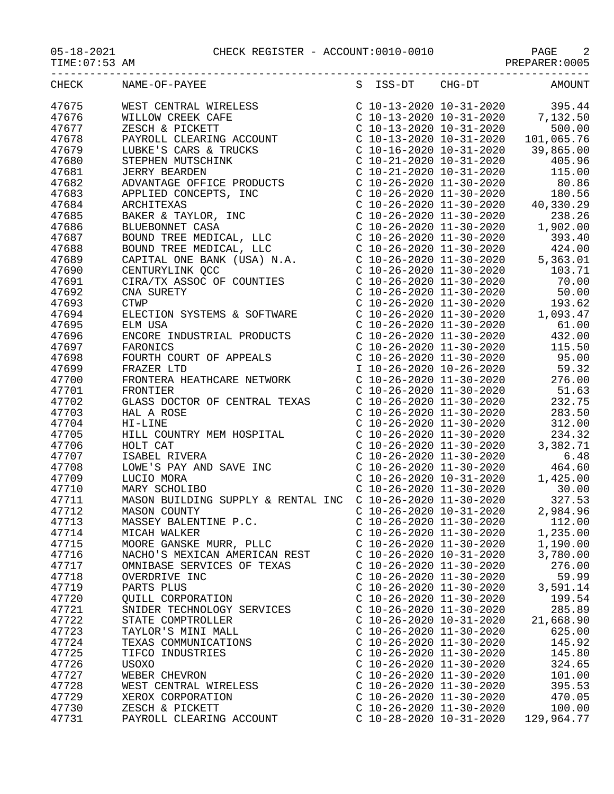05-18-2021 CHECK REGISTER - ACCOUNT:0010-0010 PAGE 2

| CHECK | NAME-OF-PAYEE<br>$\begin{tabular}{l c c c c} \multicolumn{1}{c}{\textbf{NAME-OF-PAYEE}} & \multicolumn{1}{c}{3} & \multicolumn{1}{c}{155-D1} & \multicolumn{1}{c}{164-D1} & \multicolumn{1}{c}{AMOUNT} \\ \multicolumn{1}{c}{\textbf{WIST CENTT} & \multicolumn{1}{c}{\textbf{NICSE}} & \multicolumn{1}{c}{\textbf{C}} & \multicolumn{1}{c}{\textbf{C}} & \multicolumn{1}{c}{\textbf{C}} & \multicolumn{1}{c}{\textbf{C}} & \multicolumn{1}{c}{\textbf{C}} & \multic$ |                           |                           | S ISS-DT CHG-DT AMOUNT             |
|-------|-----------------------------------------------------------------------------------------------------------------------------------------------------------------------------------------------------------------------------------------------------------------------------------------------------------------------------------------------------------------------------------------------------------------------------------------------------------------------|---------------------------|---------------------------|------------------------------------|
| 47675 |                                                                                                                                                                                                                                                                                                                                                                                                                                                                       |                           |                           |                                    |
| 47676 |                                                                                                                                                                                                                                                                                                                                                                                                                                                                       |                           |                           |                                    |
| 47677 |                                                                                                                                                                                                                                                                                                                                                                                                                                                                       |                           |                           |                                    |
| 47678 |                                                                                                                                                                                                                                                                                                                                                                                                                                                                       |                           |                           |                                    |
|       |                                                                                                                                                                                                                                                                                                                                                                                                                                                                       |                           |                           |                                    |
| 47679 |                                                                                                                                                                                                                                                                                                                                                                                                                                                                       |                           |                           |                                    |
| 47680 |                                                                                                                                                                                                                                                                                                                                                                                                                                                                       |                           |                           |                                    |
| 47681 |                                                                                                                                                                                                                                                                                                                                                                                                                                                                       |                           |                           |                                    |
| 47682 |                                                                                                                                                                                                                                                                                                                                                                                                                                                                       |                           |                           |                                    |
| 47683 |                                                                                                                                                                                                                                                                                                                                                                                                                                                                       |                           |                           |                                    |
| 47684 |                                                                                                                                                                                                                                                                                                                                                                                                                                                                       |                           |                           |                                    |
| 47685 |                                                                                                                                                                                                                                                                                                                                                                                                                                                                       |                           |                           |                                    |
| 47686 |                                                                                                                                                                                                                                                                                                                                                                                                                                                                       |                           |                           |                                    |
| 47687 |                                                                                                                                                                                                                                                                                                                                                                                                                                                                       |                           |                           |                                    |
| 47688 |                                                                                                                                                                                                                                                                                                                                                                                                                                                                       |                           |                           |                                    |
| 47689 |                                                                                                                                                                                                                                                                                                                                                                                                                                                                       |                           |                           |                                    |
| 47690 |                                                                                                                                                                                                                                                                                                                                                                                                                                                                       |                           |                           |                                    |
| 47691 |                                                                                                                                                                                                                                                                                                                                                                                                                                                                       |                           |                           |                                    |
| 47692 |                                                                                                                                                                                                                                                                                                                                                                                                                                                                       |                           |                           |                                    |
| 47693 |                                                                                                                                                                                                                                                                                                                                                                                                                                                                       |                           |                           |                                    |
| 47694 |                                                                                                                                                                                                                                                                                                                                                                                                                                                                       |                           |                           |                                    |
| 47695 |                                                                                                                                                                                                                                                                                                                                                                                                                                                                       |                           |                           |                                    |
| 47696 |                                                                                                                                                                                                                                                                                                                                                                                                                                                                       |                           |                           |                                    |
| 47697 |                                                                                                                                                                                                                                                                                                                                                                                                                                                                       |                           |                           |                                    |
| 47698 | $\begin{tabular}{l c c c c} \textbf{ENCORE INDUSTRIAL PRODUTS} & $\texttt{C 10-26-2020 11-30-2020}$ & 432.00\\ \textbf{FAROMICS} & $\texttt{C 10-26-2020 11-30-2020}$ & 115.500\\ \textbf{FRAZER LTD} & $\texttt{C 10-26-2020 11-30-2020}$ & 95.00\\ \textbf{FRAZER LTD} & $\texttt{I 10-26-2020 11-30-2020}$ & 95.32\\ \textbf{FRO$                                                                                                                                  |                           |                           |                                    |
| 47699 |                                                                                                                                                                                                                                                                                                                                                                                                                                                                       |                           |                           |                                    |
| 47700 |                                                                                                                                                                                                                                                                                                                                                                                                                                                                       |                           |                           |                                    |
| 47701 |                                                                                                                                                                                                                                                                                                                                                                                                                                                                       |                           |                           |                                    |
| 47702 |                                                                                                                                                                                                                                                                                                                                                                                                                                                                       |                           |                           |                                    |
| 47703 |                                                                                                                                                                                                                                                                                                                                                                                                                                                                       |                           |                           |                                    |
| 47704 |                                                                                                                                                                                                                                                                                                                                                                                                                                                                       |                           |                           |                                    |
|       |                                                                                                                                                                                                                                                                                                                                                                                                                                                                       |                           |                           |                                    |
| 47705 |                                                                                                                                                                                                                                                                                                                                                                                                                                                                       |                           |                           |                                    |
| 47706 |                                                                                                                                                                                                                                                                                                                                                                                                                                                                       |                           |                           |                                    |
| 47707 |                                                                                                                                                                                                                                                                                                                                                                                                                                                                       |                           |                           |                                    |
| 47708 |                                                                                                                                                                                                                                                                                                                                                                                                                                                                       |                           |                           |                                    |
| 47709 |                                                                                                                                                                                                                                                                                                                                                                                                                                                                       |                           |                           |                                    |
| 47710 |                                                                                                                                                                                                                                                                                                                                                                                                                                                                       |                           |                           |                                    |
| 47711 |                                                                                                                                                                                                                                                                                                                                                                                                                                                                       |                           |                           |                                    |
| 47712 | <b>MASON COUNTY</b>                                                                                                                                                                                                                                                                                                                                                                                                                                                   |                           |                           | $C$ 10-26-2020 10-31-2020 2,984.96 |
| 47713 | MASSEY BALENTINE P.C.                                                                                                                                                                                                                                                                                                                                                                                                                                                 |                           | $C$ 10-26-2020 11-30-2020 | 112.00                             |
| 47714 | MICAH WALKER                                                                                                                                                                                                                                                                                                                                                                                                                                                          | $C$ 10-26-2020 11-30-2020 |                           | 1,235.00                           |
| 47715 | MOORE GANSKE MURR, PLLC                                                                                                                                                                                                                                                                                                                                                                                                                                               | $C$ 10-26-2020 11-30-2020 |                           | 1,190.00                           |
| 47716 | NACHO'S MEXICAN AMERICAN REST                                                                                                                                                                                                                                                                                                                                                                                                                                         | $C$ 10-26-2020 10-31-2020 |                           | 3,780.00                           |
| 47717 | OMNIBASE SERVICES OF TEXAS                                                                                                                                                                                                                                                                                                                                                                                                                                            | $C$ 10-26-2020 11-30-2020 |                           | 276.00                             |
| 47718 | OVERDRIVE INC                                                                                                                                                                                                                                                                                                                                                                                                                                                         | $C$ 10-26-2020 11-30-2020 |                           | 59.99                              |
| 47719 | PARTS PLUS                                                                                                                                                                                                                                                                                                                                                                                                                                                            | $C$ 10-26-2020 11-30-2020 |                           | 3,591.14                           |
| 47720 | OUILL CORPORATION                                                                                                                                                                                                                                                                                                                                                                                                                                                     | $C$ 10-26-2020 11-30-2020 |                           | 199.54                             |
| 47721 | SNIDER TECHNOLOGY SERVICES                                                                                                                                                                                                                                                                                                                                                                                                                                            | $C$ 10-26-2020 11-30-2020 |                           | 285.89                             |
| 47722 | STATE COMPTROLLER                                                                                                                                                                                                                                                                                                                                                                                                                                                     | $C$ 10-26-2020 10-31-2020 |                           | 21,668.90                          |
| 47723 | TAYLOR'S MINI MALL                                                                                                                                                                                                                                                                                                                                                                                                                                                    | $C$ 10-26-2020 11-30-2020 |                           | 625.00                             |
| 47724 | TEXAS COMMUNICATIONS                                                                                                                                                                                                                                                                                                                                                                                                                                                  | $C$ 10-26-2020 11-30-2020 |                           | 145.92                             |
| 47725 | TIFCO INDUSTRIES                                                                                                                                                                                                                                                                                                                                                                                                                                                      | $C$ 10-26-2020 11-30-2020 |                           | 145.80                             |
| 47726 | USOXO                                                                                                                                                                                                                                                                                                                                                                                                                                                                 | $C$ 10-26-2020 11-30-2020 |                           | 324.65                             |
| 47727 | WEBER CHEVRON                                                                                                                                                                                                                                                                                                                                                                                                                                                         | $C$ 10-26-2020 11-30-2020 |                           | 101.00                             |
| 47728 | WEST CENTRAL WIRELESS                                                                                                                                                                                                                                                                                                                                                                                                                                                 | $C$ 10-26-2020 11-30-2020 |                           | 395.53                             |
| 47729 | XEROX CORPORATION                                                                                                                                                                                                                                                                                                                                                                                                                                                     | $C$ 10-26-2020 11-30-2020 |                           | 470.05                             |
| 47730 | ZESCH & PICKETT                                                                                                                                                                                                                                                                                                                                                                                                                                                       | $C$ 10-26-2020 11-30-2020 |                           | 100.00                             |
| 47731 | PAYROLL CLEARING ACCOUNT                                                                                                                                                                                                                                                                                                                                                                                                                                              | $C$ 10-28-2020 10-31-2020 |                           | 129,964.77                         |
|       |                                                                                                                                                                                                                                                                                                                                                                                                                                                                       |                           |                           |                                    |